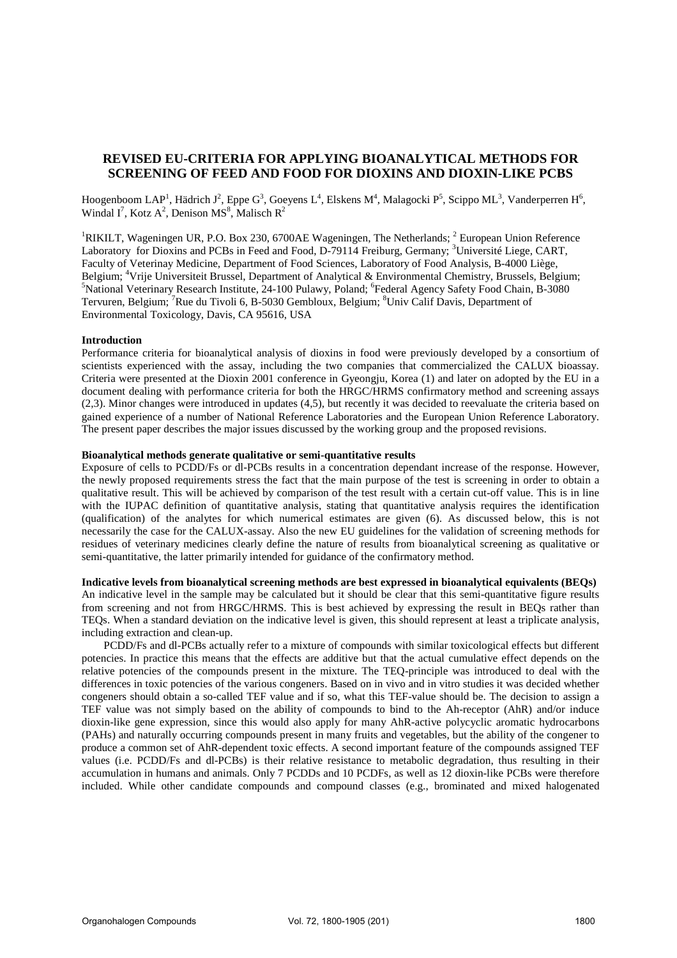# **REVISED EU-CRITERIA FOR APPLYING BIOANALYTICAL METHODS FOR SCREENING OF FEED AND FOOD FOR DIOXINS AND DIOXIN-LIKE PCBS**

Hoogenboom LAP<sup>1</sup>, Hädrich J<sup>2</sup>, Eppe G<sup>3</sup>, Goeyens L<sup>4</sup>, Elskens M<sup>4</sup>, Malagocki P<sup>5</sup>, Scippo ML<sup>3</sup>, Vanderperren H<sup>6</sup>, Windal I<sup>7</sup>, Kotz A<sup>2</sup>, Denison MS<sup>8</sup>, Malisch R<sup>2</sup>

<sup>1</sup>RIKILT, Wageningen UR, P.O. Box 230, 6700AE Wageningen, The Netherlands;  $2$  European Union Reference Laboratory for Dioxins and PCBs in Feed and Food, D-79114 Freiburg, Germany; <sup>3</sup>Université Liege, CART, Faculty of Veterinay Medicine, Department of Food Sciences, Laboratory of Food Analysis, B-4000 Liège, Belgium; <sup>4</sup>Vrije Universiteit Brussel, Department of Analytical & Environmental Chemistry, Brussels, Belgium; <sup>5</sup>National Veterinary Research Institute, 24-100 Pulawy, Poland; <sup>6</sup>Federal Agency Safety Food Chain, B-3080 Tervuren, Belgium; <sup>7</sup>Rue du Tivoli 6, B-5030 Gembloux, Belgium; <sup>8</sup>Univ Calif Davis, Department of Environmental Toxicology, Davis, CA 95616, USA

### **Introduction**

Performance criteria for bioanalytical analysis of dioxins in food were previously developed by a consortium of scientists experienced with the assay, including the two companies that commercialized the CALUX bioassay. Criteria were presented at the Dioxin 2001 conference in Gyeongju, Korea (1) and later on adopted by the EU in a document dealing with performance criteria for both the HRGC/HRMS confirmatory method and screening assays (2,3). Minor changes were introduced in updates (4,5), but recently it was decided to reevaluate the criteria based on gained experience of a number of National Reference Laboratories and the European Union Reference Laboratory. The present paper describes the major issues discussed by the working group and the proposed revisions.

## **Bioanalytical methods generate qualitative or semi-quantitative results**

Exposure of cells to PCDD/Fs or dl-PCBs results in a concentration dependant increase of the response. However, the newly proposed requirements stress the fact that the main purpose of the test is screening in order to obtain a qualitative result. This will be achieved by comparison of the test result with a certain cut-off value. This is in line with the IUPAC definition of quantitative analysis, stating that quantitative analysis requires the identification (qualification) of the analytes for which numerical estimates are given (6). As discussed below, this is not necessarily the case for the CALUX-assay. Also the new EU guidelines for the validation of screening methods for residues of veterinary medicines clearly define the nature of results from bioanalytical screening as qualitative or semi-quantitative, the latter primarily intended for guidance of the confirmatory method.

**Indicative levels from bioanalytical screening methods are best expressed in bioanalytical equivalents (BEQs)**  An indicative level in the sample may be calculated but it should be clear that this semi-quantitative figure results from screening and not from HRGC/HRMS. This is best achieved by expressing the result in BEQs rather than TEQs. When a standard deviation on the indicative level is given, this should represent at least a triplicate analysis, including extraction and clean-up.

 PCDD/Fs and dl-PCBs actually refer to a mixture of compounds with similar toxicological effects but different potencies. In practice this means that the effects are additive but that the actual cumulative effect depends on the relative potencies of the compounds present in the mixture. The TEQ-principle was introduced to deal with the differences in toxic potencies of the various congeners. Based on in vivo and in vitro studies it was decided whether congeners should obtain a so-called TEF value and if so, what this TEF-value should be. The decision to assign a TEF value was not simply based on the ability of compounds to bind to the Ah-receptor (AhR) and/or induce dioxin-like gene expression, since this would also apply for many AhR-active polycyclic aromatic hydrocarbons (PAHs) and naturally occurring compounds present in many fruits and vegetables, but the ability of the congener to produce a common set of AhR-dependent toxic effects. A second important feature of the compounds assigned TEF values (i.e. PCDD/Fs and dl-PCBs) is their relative resistance to metabolic degradation, thus resulting in their accumulation in humans and animals. Only 7 PCDDs and 10 PCDFs, as well as 12 dioxin-like PCBs were therefore included. While other candidate compounds and compound classes (e.g., brominated and mixed halogenated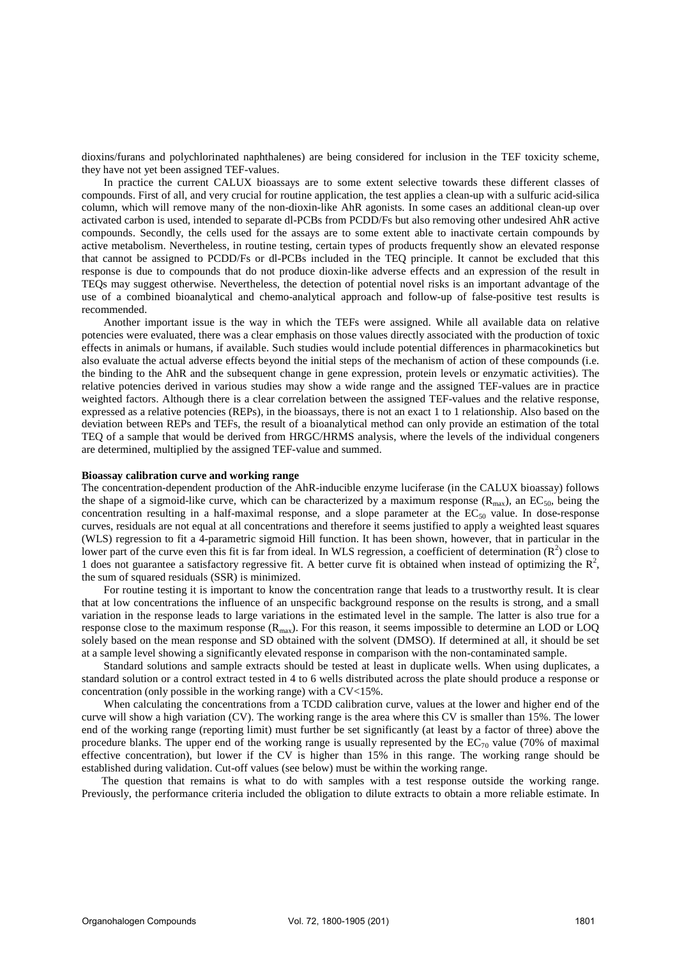dioxins/furans and polychlorinated naphthalenes) are being considered for inclusion in the TEF toxicity scheme, they have not yet been assigned TEF-values.

 In practice the current CALUX bioassays are to some extent selective towards these different classes of compounds. First of all, and very crucial for routine application, the test applies a clean-up with a sulfuric acid-silica column, which will remove many of the non-dioxin-like AhR agonists. In some cases an additional clean-up over activated carbon is used, intended to separate dl-PCBs from PCDD/Fs but also removing other undesired AhR active compounds. Secondly, the cells used for the assays are to some extent able to inactivate certain compounds by active metabolism. Nevertheless, in routine testing, certain types of products frequently show an elevated response that cannot be assigned to PCDD/Fs or dl-PCBs included in the TEQ principle. It cannot be excluded that this response is due to compounds that do not produce dioxin-like adverse effects and an expression of the result in TEQs may suggest otherwise. Nevertheless, the detection of potential novel risks is an important advantage of the use of a combined bioanalytical and chemo-analytical approach and follow-up of false-positive test results is recommended.

 Another important issue is the way in which the TEFs were assigned. While all available data on relative potencies were evaluated, there was a clear emphasis on those values directly associated with the production of toxic effects in animals or humans, if available. Such studies would include potential differences in pharmacokinetics but also evaluate the actual adverse effects beyond the initial steps of the mechanism of action of these compounds (i.e. the binding to the AhR and the subsequent change in gene expression, protein levels or enzymatic activities). The relative potencies derived in various studies may show a wide range and the assigned TEF-values are in practice weighted factors. Although there is a clear correlation between the assigned TEF-values and the relative response, expressed as a relative potencies (REPs), in the bioassays, there is not an exact 1 to 1 relationship. Also based on the deviation between REPs and TEFs, the result of a bioanalytical method can only provide an estimation of the total TEQ of a sample that would be derived from HRGC/HRMS analysis, where the levels of the individual congeners are determined, multiplied by the assigned TEF-value and summed.

#### **Bioassay calibration curve and working range**

The concentration-dependent production of the AhR-inducible enzyme luciferase (in the CALUX bioassay) follows the shape of a sigmoid-like curve, which can be characterized by a maximum response ( $R_{\text{max}}$ ), an EC<sub>50</sub>, being the concentration resulting in a half-maximal response, and a slope parameter at the  $EC_{50}$  value. In dose-response curves, residuals are not equal at all concentrations and therefore it seems justified to apply a weighted least squares (WLS) regression to fit a 4-parametric sigmoid Hill function. It has been shown, however, that in particular in the lower part of the curve even this fit is far from ideal. In WLS regression, a coefficient of determination  $(R^2)$  close to 1 does not guarantee a satisfactory regressive fit. A better curve fit is obtained when instead of optimizing the  $\mathbb{R}^2$ , the sum of squared residuals (SSR) is minimized.

 For routine testing it is important to know the concentration range that leads to a trustworthy result. It is clear that at low concentrations the influence of an unspecific background response on the results is strong, and a small variation in the response leads to large variations in the estimated level in the sample. The latter is also true for a response close to the maximum response  $(R_{\text{max}})$ . For this reason, it seems impossible to determine an LOD or LOQ solely based on the mean response and SD obtained with the solvent (DMSO). If determined at all, it should be set at a sample level showing a significantly elevated response in comparison with the non-contaminated sample.

 Standard solutions and sample extracts should be tested at least in duplicate wells. When using duplicates, a standard solution or a control extract tested in 4 to 6 wells distributed across the plate should produce a response or concentration (only possible in the working range) with a CV<15%.

 When calculating the concentrations from a TCDD calibration curve, values at the lower and higher end of the curve will show a high variation (CV). The working range is the area where this CV is smaller than 15%. The lower end of the working range (reporting limit) must further be set significantly (at least by a factor of three) above the procedure blanks. The upper end of the working range is usually represented by the  $EC_{70}$  value (70% of maximal effective concentration), but lower if the CV is higher than 15% in this range. The working range should be established during validation. Cut-off values (see below) must be within the working range.

The question that remains is what to do with samples with a test response outside the working range. Previously, the performance criteria included the obligation to dilute extracts to obtain a more reliable estimate. In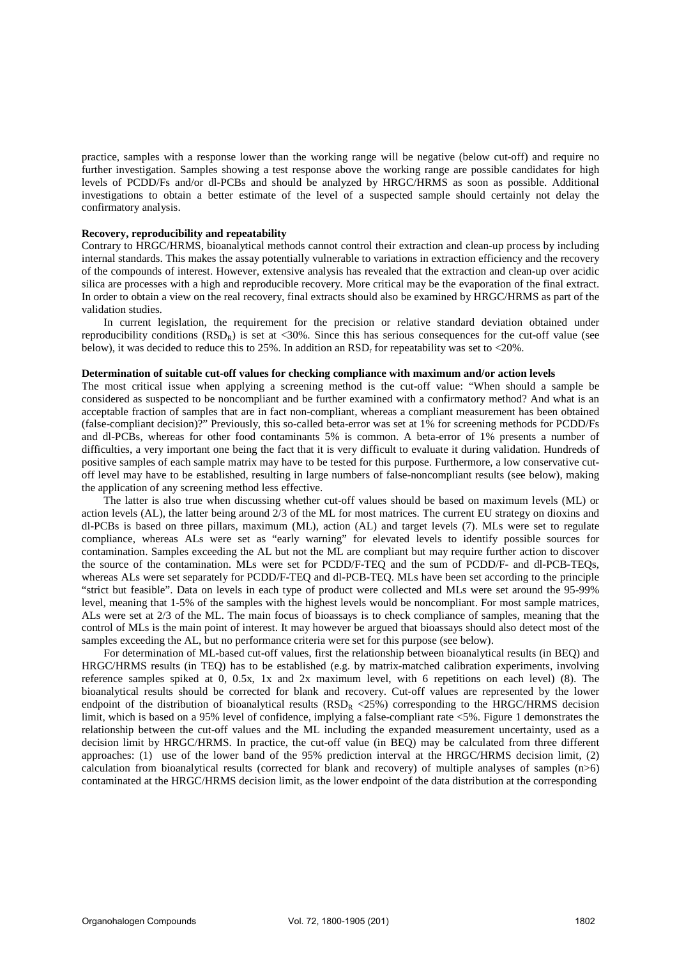practice, samples with a response lower than the working range will be negative (below cut-off) and require no further investigation. Samples showing a test response above the working range are possible candidates for high levels of PCDD/Fs and/or dl-PCBs and should be analyzed by HRGC/HRMS as soon as possible. Additional investigations to obtain a better estimate of the level of a suspected sample should certainly not delay the confirmatory analysis.

## **Recovery, reproducibility and repeatability**

Contrary to HRGC/HRMS, bioanalytical methods cannot control their extraction and clean-up process by including internal standards. This makes the assay potentially vulnerable to variations in extraction efficiency and the recovery of the compounds of interest. However, extensive analysis has revealed that the extraction and clean-up over acidic silica are processes with a high and reproducible recovery. More critical may be the evaporation of the final extract. In order to obtain a view on the real recovery, final extracts should also be examined by HRGC/HRMS as part of the validation studies.

 In current legislation, the requirement for the precision or relative standard deviation obtained under reproducibility conditions  $(RSD<sub>R</sub>)$  is set at <30%. Since this has serious consequences for the cut-off value (see below), it was decided to reduce this to 25%. In addition an  $RSD_r$  for repeatability was set to <20%.

#### **Determination of suitable cut-off values for checking compliance with maximum and/or action levels**

The most critical issue when applying a screening method is the cut-off value: "When should a sample be considered as suspected to be noncompliant and be further examined with a confirmatory method? And what is an acceptable fraction of samples that are in fact non-compliant, whereas a compliant measurement has been obtained (false-compliant decision)?" Previously, this so-called beta-error was set at 1% for screening methods for PCDD/Fs and dl-PCBs, whereas for other food contaminants 5% is common. A beta-error of 1% presents a number of difficulties, a very important one being the fact that it is very difficult to evaluate it during validation. Hundreds of positive samples of each sample matrix may have to be tested for this purpose. Furthermore, a low conservative cutoff level may have to be established, resulting in large numbers of false-noncompliant results (see below), making the application of any screening method less effective.

 The latter is also true when discussing whether cut-off values should be based on maximum levels (ML) or action levels (AL), the latter being around 2/3 of the ML for most matrices. The current EU strategy on dioxins and dl-PCBs is based on three pillars, maximum (ML), action (AL) and target levels (7). MLs were set to regulate compliance, whereas ALs were set as "early warning" for elevated levels to identify possible sources for contamination. Samples exceeding the AL but not the ML are compliant but may require further action to discover the source of the contamination. MLs were set for PCDD/F-TEQ and the sum of PCDD/F- and dl-PCB-TEQs, whereas ALs were set separately for PCDD/F-TEQ and dl-PCB-TEQ. MLs have been set according to the principle "strict but feasible". Data on levels in each type of product were collected and MLs were set around the 95-99% level, meaning that 1-5% of the samples with the highest levels would be noncompliant. For most sample matrices, ALs were set at 2/3 of the ML. The main focus of bioassays is to check compliance of samples, meaning that the control of MLs is the main point of interest. It may however be argued that bioassays should also detect most of the samples exceeding the AL, but no performance criteria were set for this purpose (see below).

 For determination of ML-based cut-off values, first the relationship between bioanalytical results (in BEQ) and HRGC/HRMS results (in TEQ) has to be established (e.g. by matrix-matched calibration experiments, involving reference samples spiked at 0, 0.5x, 1x and 2x maximum level, with 6 repetitions on each level) (8). The bioanalytical results should be corrected for blank and recovery. Cut-off values are represented by the lower endpoint of the distribution of bioanalytical results ( $RSD_R < 25\%$ ) corresponding to the HRGC/HRMS decision limit, which is based on a 95% level of confidence, implying a false-compliant rate <5%. Figure 1 demonstrates the relationship between the cut-off values and the ML including the expanded measurement uncertainty, used as a decision limit by HRGC/HRMS. In practice, the cut-off value (in BEQ) may be calculated from three different approaches: (1) use of the lower band of the 95% prediction interval at the HRGC/HRMS decision limit, (2) calculation from bioanalytical results (corrected for blank and recovery) of multiple analyses of samples  $(n>6)$ contaminated at the HRGC/HRMS decision limit, as the lower endpoint of the data distribution at the corresponding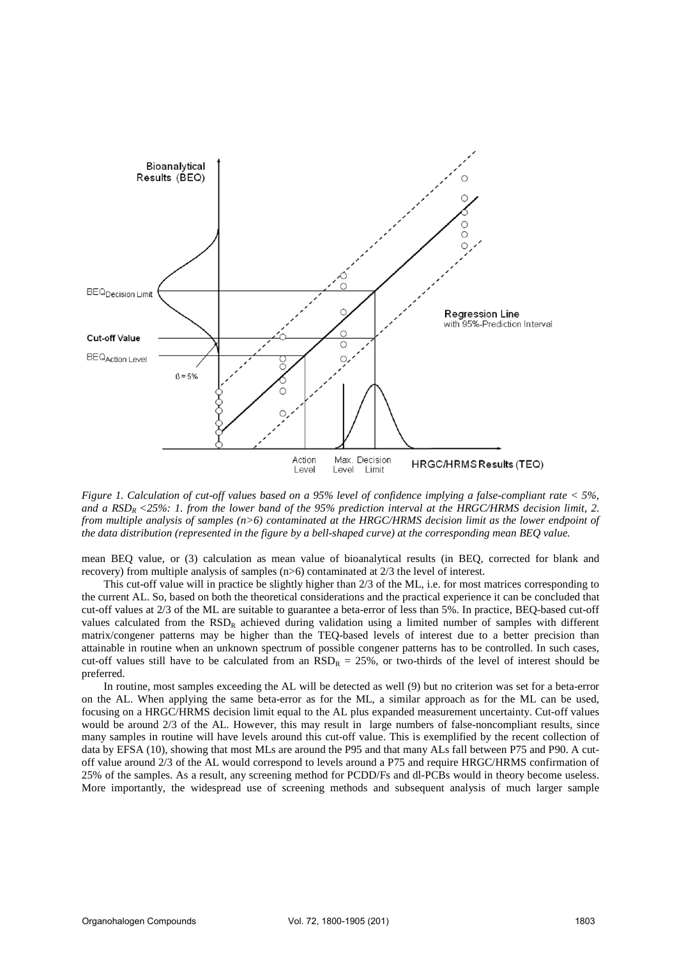

*Figure 1. Calculation of cut-off values based on a 95% level of confidence implying a false-compliant rate < 5%, and a RSDR <25%: 1. from the lower band of the 95% prediction interval at the HRGC/HRMS decision limit, 2. from multiple analysis of samples (n>6) contaminated at the HRGC/HRMS decision limit as the lower endpoint of the data distribution (represented in the figure by a bell-shaped curve) at the corresponding mean BEQ value.* 

mean BEQ value, or (3) calculation as mean value of bioanalytical results (in BEQ, corrected for blank and recovery) from multiple analysis of samples (n>6) contaminated at 2/3 the level of interest.

 This cut-off value will in practice be slightly higher than 2/3 of the ML, i.e. for most matrices corresponding to the current AL. So, based on both the theoretical considerations and the practical experience it can be concluded that cut-off values at 2/3 of the ML are suitable to guarantee a beta-error of less than 5%. In practice, BEQ-based cut-off values calculated from the RSD<sub>R</sub> achieved during validation using a limited number of samples with different matrix/congener patterns may be higher than the TEQ-based levels of interest due to a better precision than attainable in routine when an unknown spectrum of possible congener patterns has to be controlled. In such cases, cut-off values still have to be calculated from an  $RSD_R = 25\%$ , or two-thirds of the level of interest should be preferred.

 In routine, most samples exceeding the AL will be detected as well (9) but no criterion was set for a beta-error on the AL. When applying the same beta-error as for the ML, a similar approach as for the ML can be used, focusing on a HRGC/HRMS decision limit equal to the AL plus expanded measurement uncertainty. Cut-off values would be around 2/3 of the AL. However, this may result in large numbers of false-noncompliant results, since many samples in routine will have levels around this cut-off value. This is exemplified by the recent collection of data by EFSA (10), showing that most MLs are around the P95 and that many ALs fall between P75 and P90. A cutoff value around 2/3 of the AL would correspond to levels around a P75 and require HRGC/HRMS confirmation of 25% of the samples. As a result, any screening method for PCDD/Fs and dl-PCBs would in theory become useless. More importantly, the widespread use of screening methods and subsequent analysis of much larger sample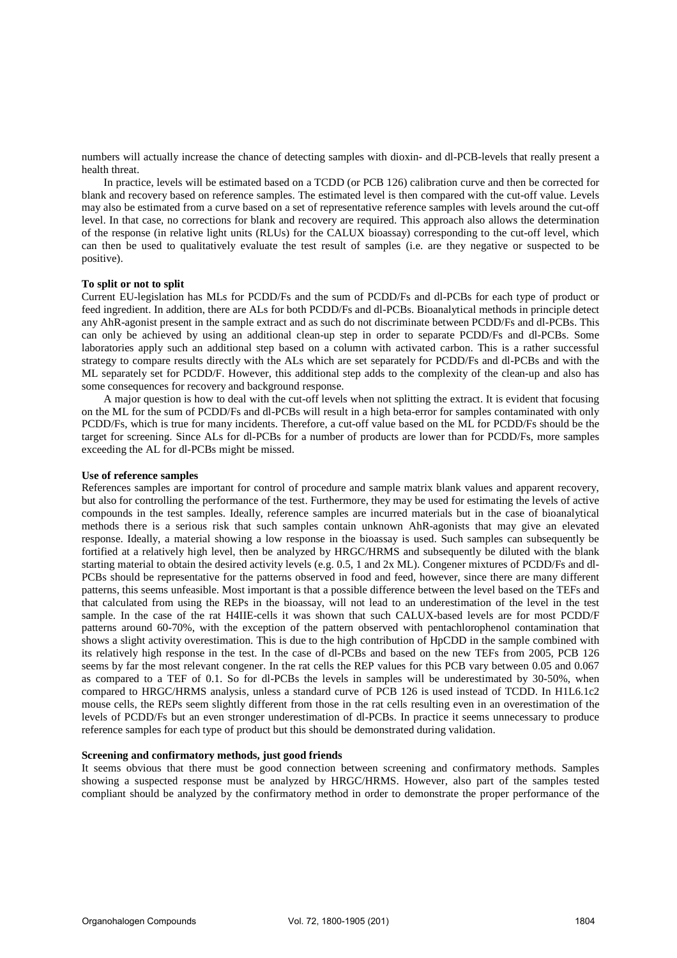numbers will actually increase the chance of detecting samples with dioxin- and dl-PCB-levels that really present a health threat.

 In practice, levels will be estimated based on a TCDD (or PCB 126) calibration curve and then be corrected for blank and recovery based on reference samples. The estimated level is then compared with the cut-off value. Levels may also be estimated from a curve based on a set of representative reference samples with levels around the cut-off level. In that case, no corrections for blank and recovery are required. This approach also allows the determination of the response (in relative light units (RLUs) for the CALUX bioassay) corresponding to the cut-off level, which can then be used to qualitatively evaluate the test result of samples (i.e. are they negative or suspected to be positive).

#### **To split or not to split**

Current EU-legislation has MLs for PCDD/Fs and the sum of PCDD/Fs and dl-PCBs for each type of product or feed ingredient. In addition, there are ALs for both PCDD/Fs and dl-PCBs. Bioanalytical methods in principle detect any AhR-agonist present in the sample extract and as such do not discriminate between PCDD/Fs and dl-PCBs. This can only be achieved by using an additional clean-up step in order to separate PCDD/Fs and dl-PCBs. Some laboratories apply such an additional step based on a column with activated carbon. This is a rather successful strategy to compare results directly with the ALs which are set separately for PCDD/Fs and dl-PCBs and with the ML separately set for PCDD/F. However, this additional step adds to the complexity of the clean-up and also has some consequences for recovery and background response.

 A major question is how to deal with the cut-off levels when not splitting the extract. It is evident that focusing on the ML for the sum of PCDD/Fs and dl-PCBs will result in a high beta-error for samples contaminated with only PCDD/Fs, which is true for many incidents. Therefore, a cut-off value based on the ML for PCDD/Fs should be the target for screening. Since ALs for dl-PCBs for a number of products are lower than for PCDD/Fs, more samples exceeding the AL for dl-PCBs might be missed.

#### **Use of reference samples**

References samples are important for control of procedure and sample matrix blank values and apparent recovery, but also for controlling the performance of the test. Furthermore, they may be used for estimating the levels of active compounds in the test samples. Ideally, reference samples are incurred materials but in the case of bioanalytical methods there is a serious risk that such samples contain unknown AhR-agonists that may give an elevated response. Ideally, a material showing a low response in the bioassay is used. Such samples can subsequently be fortified at a relatively high level, then be analyzed by HRGC/HRMS and subsequently be diluted with the blank starting material to obtain the desired activity levels (e.g. 0.5, 1 and 2x ML). Congener mixtures of PCDD/Fs and dl-PCBs should be representative for the patterns observed in food and feed, however, since there are many different patterns, this seems unfeasible. Most important is that a possible difference between the level based on the TEFs and that calculated from using the REPs in the bioassay, will not lead to an underestimation of the level in the test sample. In the case of the rat H4IIE-cells it was shown that such CALUX-based levels are for most PCDD/F patterns around 60-70%, with the exception of the pattern observed with pentachlorophenol contamination that shows a slight activity overestimation. This is due to the high contribution of HpCDD in the sample combined with its relatively high response in the test. In the case of dl-PCBs and based on the new TEFs from 2005, PCB 126 seems by far the most relevant congener. In the rat cells the REP values for this PCB vary between 0.05 and 0.067 as compared to a TEF of 0.1. So for dl-PCBs the levels in samples will be underestimated by 30-50%, when compared to HRGC/HRMS analysis, unless a standard curve of PCB 126 is used instead of TCDD. In H1L6.1c2 mouse cells, the REPs seem slightly different from those in the rat cells resulting even in an overestimation of the levels of PCDD/Fs but an even stronger underestimation of dl-PCBs. In practice it seems unnecessary to produce reference samples for each type of product but this should be demonstrated during validation.

#### **Screening and confirmatory methods, just good friends**

It seems obvious that there must be good connection between screening and confirmatory methods. Samples showing a suspected response must be analyzed by HRGC/HRMS. However, also part of the samples tested compliant should be analyzed by the confirmatory method in order to demonstrate the proper performance of the